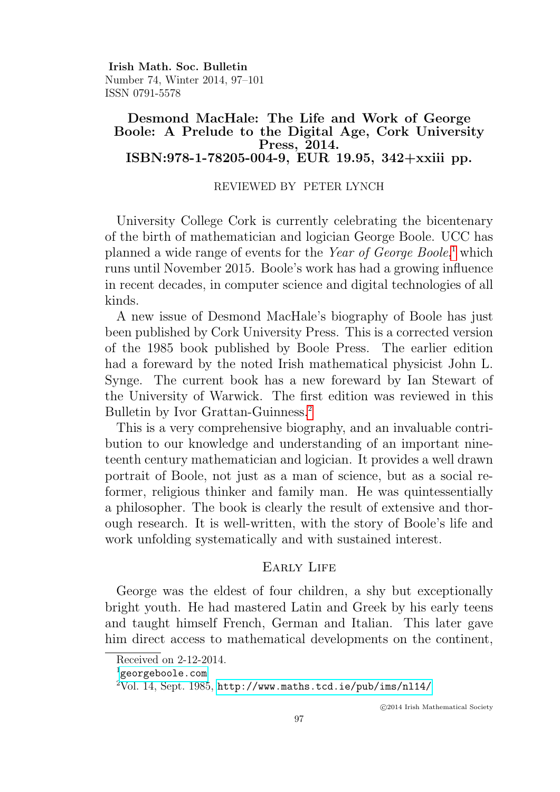Irish Math. Soc. Bulletin Number 74, Winter 2014, 97–101 ISSN 0791-5578

# Desmond MacHale: The Life and Work of George Boole: A Prelude to the Digital Age, Cork University Press, 2014. ISBN:978-1-78205-004-9, EUR 19.95, 342+xxiii pp.

## REVIEWED BY PETER LYNCH

University College Cork is currently celebrating the bicentenary of the birth of mathematician and logician George Boole. UCC has planned a wide range of events for the Year of George Boole,<sup>[1](#page-0-0)</sup> which runs until November 2015. Boole's work has had a growing influence in recent decades, in computer science and digital technologies of all kinds.

A new issue of Desmond MacHale's biography of Boole has just been published by Cork University Press. This is a corrected version of the 1985 book published by Boole Press. The earlier edition had a foreward by the noted Irish mathematical physicist John L. Synge. The current book has a new foreward by Ian Stewart of the University of Warwick. The first edition was reviewed in this Bulletin by Ivor Grattan-Guinness.<sup>[2](#page-0-1)</sup>

This is a very comprehensive biography, and an invaluable contribution to our knowledge and understanding of an important nineteenth century mathematician and logician. It provides a well drawn portrait of Boole, not just as a man of science, but as a social reformer, religious thinker and family man. He was quintessentially a philosopher. The book is clearly the result of extensive and thorough research. It is well-written, with the story of Boole's life and work unfolding systematically and with sustained interest.

## EARLY LIFE

George was the eldest of four children, a shy but exceptionally bright youth. He had mastered Latin and Greek by his early teens and taught himself French, German and Italian. This later gave him direct access to mathematical developments on the continent,

Received on 2-12-2014.

<span id="page-0-0"></span> $^{\rm 1}$ <georgeboole.com>

<span id="page-0-1"></span> $2\text{Vol}$ . 14, Sept. 1985, <http://www.maths.tcd.ie/pub/ims/nl14/>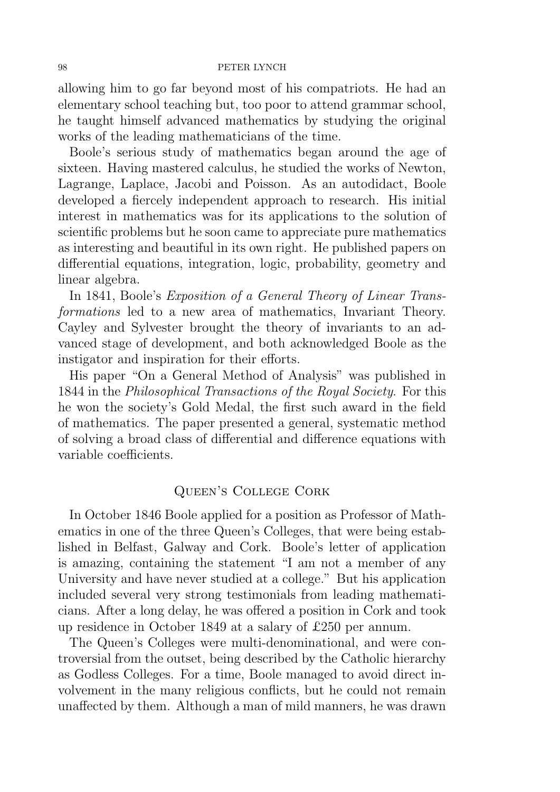### 98 PETER LYNCH

allowing him to go far beyond most of his compatriots. He had an elementary school teaching but, too poor to attend grammar school, he taught himself advanced mathematics by studying the original works of the leading mathematicians of the time.

Boole's serious study of mathematics began around the age of sixteen. Having mastered calculus, he studied the works of Newton, Lagrange, Laplace, Jacobi and Poisson. As an autodidact, Boole developed a fiercely independent approach to research. His initial interest in mathematics was for its applications to the solution of scientific problems but he soon came to appreciate pure mathematics as interesting and beautiful in its own right. He published papers on differential equations, integration, logic, probability, geometry and linear algebra.

In 1841, Boole's Exposition of a General Theory of Linear Transformations led to a new area of mathematics, Invariant Theory. Cayley and Sylvester brought the theory of invariants to an advanced stage of development, and both acknowledged Boole as the instigator and inspiration for their efforts.

His paper "On a General Method of Analysis" was published in 1844 in the Philosophical Transactions of the Royal Society. For this he won the society's Gold Medal, the first such award in the field of mathematics. The paper presented a general, systematic method of solving a broad class of differential and difference equations with variable coefficients.

# Queen's College Cork

In October 1846 Boole applied for a position as Professor of Mathematics in one of the three Queen's Colleges, that were being established in Belfast, Galway and Cork. Boole's letter of application is amazing, containing the statement "I am not a member of any University and have never studied at a college." But his application included several very strong testimonials from leading mathematicians. After a long delay, he was offered a position in Cork and took up residence in October 1849 at a salary of £250 per annum.

The Queen's Colleges were multi-denominational, and were controversial from the outset, being described by the Catholic hierarchy as Godless Colleges. For a time, Boole managed to avoid direct involvement in the many religious conflicts, but he could not remain unaffected by them. Although a man of mild manners, he was drawn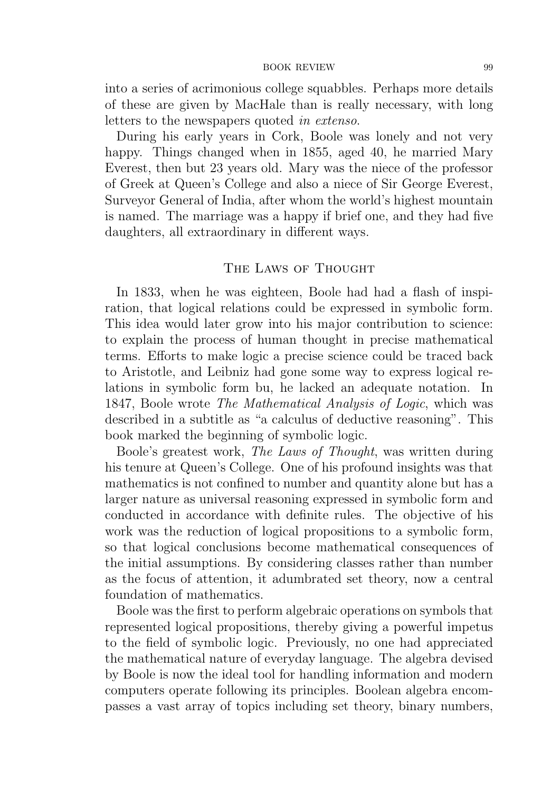### BOOK REVIEW 99

into a series of acrimonious college squabbles. Perhaps more details of these are given by MacHale than is really necessary, with long letters to the newspapers quoted in extenso.

During his early years in Cork, Boole was lonely and not very happy. Things changed when in 1855, aged 40, he married Mary Everest, then but 23 years old. Mary was the niece of the professor of Greek at Queen's College and also a niece of Sir George Everest, Surveyor General of India, after whom the world's highest mountain is named. The marriage was a happy if brief one, and they had five daughters, all extraordinary in different ways.

## THE LAWS OF THOUGHT

In 1833, when he was eighteen, Boole had had a flash of inspiration, that logical relations could be expressed in symbolic form. This idea would later grow into his major contribution to science: to explain the process of human thought in precise mathematical terms. Efforts to make logic a precise science could be traced back to Aristotle, and Leibniz had gone some way to express logical relations in symbolic form bu, he lacked an adequate notation. In 1847, Boole wrote The Mathematical Analysis of Logic, which was described in a subtitle as "a calculus of deductive reasoning". This book marked the beginning of symbolic logic.

Boole's greatest work, The Laws of Thought, was written during his tenure at Queen's College. One of his profound insights was that mathematics is not confined to number and quantity alone but has a larger nature as universal reasoning expressed in symbolic form and conducted in accordance with definite rules. The objective of his work was the reduction of logical propositions to a symbolic form, so that logical conclusions become mathematical consequences of the initial assumptions. By considering classes rather than number as the focus of attention, it adumbrated set theory, now a central foundation of mathematics.

Boole was the first to perform algebraic operations on symbols that represented logical propositions, thereby giving a powerful impetus to the field of symbolic logic. Previously, no one had appreciated the mathematical nature of everyday language. The algebra devised by Boole is now the ideal tool for handling information and modern computers operate following its principles. Boolean algebra encompasses a vast array of topics including set theory, binary numbers,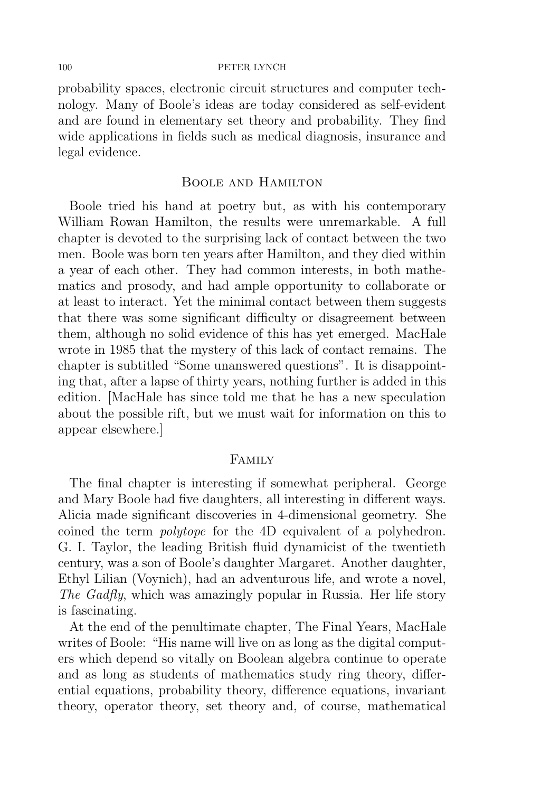### 100 PETER LYNCH

probability spaces, electronic circuit structures and computer technology. Many of Boole's ideas are today considered as self-evident and are found in elementary set theory and probability. They find wide applications in fields such as medical diagnosis, insurance and legal evidence.

### Boole and Hamilton

Boole tried his hand at poetry but, as with his contemporary William Rowan Hamilton, the results were unremarkable. A full chapter is devoted to the surprising lack of contact between the two men. Boole was born ten years after Hamilton, and they died within a year of each other. They had common interests, in both mathematics and prosody, and had ample opportunity to collaborate or at least to interact. Yet the minimal contact between them suggests that there was some significant difficulty or disagreement between them, although no solid evidence of this has yet emerged. MacHale wrote in 1985 that the mystery of this lack of contact remains. The chapter is subtitled "Some unanswered questions". It is disappointing that, after a lapse of thirty years, nothing further is added in this edition. [MacHale has since told me that he has a new speculation about the possible rift, but we must wait for information on this to appear elsewhere.]

### Family

The final chapter is interesting if somewhat peripheral. George and Mary Boole had five daughters, all interesting in different ways. Alicia made significant discoveries in 4-dimensional geometry. She coined the term polytope for the 4D equivalent of a polyhedron. G. I. Taylor, the leading British fluid dynamicist of the twentieth century, was a son of Boole's daughter Margaret. Another daughter, Ethyl Lilian (Voynich), had an adventurous life, and wrote a novel, The Gadfly, which was amazingly popular in Russia. Her life story is fascinating.

At the end of the penultimate chapter, The Final Years, MacHale writes of Boole: "His name will live on as long as the digital computers which depend so vitally on Boolean algebra continue to operate and as long as students of mathematics study ring theory, differential equations, probability theory, difference equations, invariant theory, operator theory, set theory and, of course, mathematical